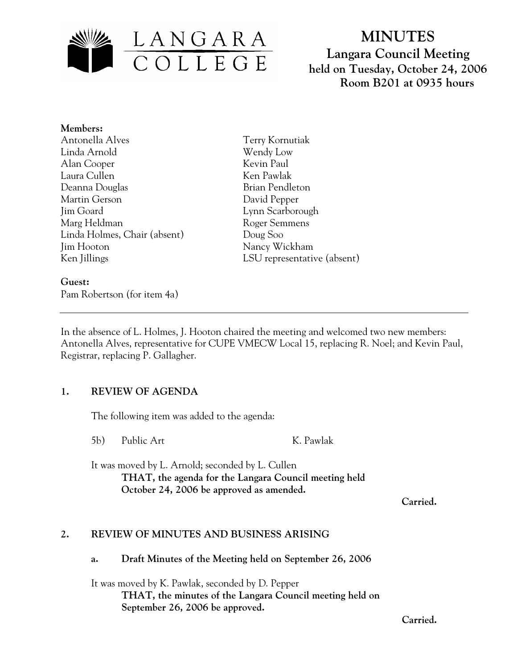

# **MINUTES Langara Council Meeting held on Tuesday, October 24, 2006 Room B201 at 0935 hours**

#### **Members:**

Antonella Alves Linda Arnold Alan Cooper Laura Cullen Deanna Douglas Martin Gerson Jim Goard Marg Heldman Linda Holmes, Chair (absent) Jim Hooton Ken Jillings

## Terry Kornutiak Wendy Low Kevin Paul Ken Pawlak Brian Pendleton David Pepper Lynn Scarborough Roger Semmens Doug Soo Nancy Wickham LSU representative (absent)

#### **Guest:**  Pam Robertson (for item 4a)

In the absence of L. Holmes, J. Hooton chaired the meeting and welcomed two new members: Antonella Alves, representative for CUPE VMECW Local 15, replacing R. Noel; and Kevin Paul, Registrar, replacing P. Gallagher.

## **1. REVIEW OF AGENDA**

The following item was added to the agenda:

5b) Public Art K. Pawlak

 It was moved by L. Arnold; seconded by L. Cullen **THAT, the agenda for the Langara Council meeting held October 24, 2006 be approved as amended.** 

**Carried.** 

# **2. REVIEW OF MINUTES AND BUSINESS ARISING**

**a. Draft Minutes of the Meeting held on September 26, 2006** 

It was moved by K. Pawlak, seconded by D. Pepper  **THAT, the minutes of the Langara Council meeting held on September 26, 2006 be approved.** 

 **Carried.**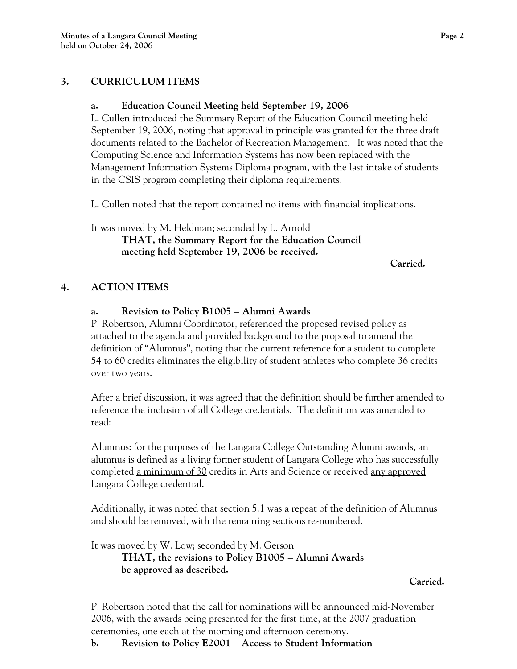# **3. CURRICULUM ITEMS**

## **a. Education Council Meeting held September 19, 2006**

L. Cullen introduced the Summary Report of the Education Council meeting held September 19, 2006, noting that approval in principle was granted for the three draft documents related to the Bachelor of Recreation Management. It was noted that the Computing Science and Information Systems has now been replaced with the Management Information Systems Diploma program, with the last intake of students in the CSIS program completing their diploma requirements.

L. Cullen noted that the report contained no items with financial implications.

It was moved by M. Heldman; seconded by L. Arnold **THAT, the Summary Report for the Education Council meeting held September 19, 2006 be received.** 

**Carried.** 

# **4. ACTION ITEMS**

# **a. Revision to Policy B1005 – Alumni Awards**

P. Robertson, Alumni Coordinator, referenced the proposed revised policy as attached to the agenda and provided background to the proposal to amend the definition of "Alumnus", noting that the current reference for a student to complete 54 to 60 credits eliminates the eligibility of student athletes who complete 36 credits over two years.

After a brief discussion, it was agreed that the definition should be further amended to reference the inclusion of all College credentials. The definition was amended to read:

Alumnus: for the purposes of the Langara College Outstanding Alumni awards, an alumnus is defined as a living former student of Langara College who has successfully completed a minimum of 30 credits in Arts and Science or received any approved Langara College credential.

 Additionally, it was noted that section 5.1 was a repeat of the definition of Alumnus and should be removed, with the remaining sections re-numbered.

 It was moved by W. Low; seconded by M. Gerson **THAT, the revisions to Policy B1005 – Alumni Awards be approved as described.** 

 **Carried.** 

P. Robertson noted that the call for nominations will be announced mid-November 2006, with the awards being presented for the first time, at the 2007 graduation ceremonies, one each at the morning and afternoon ceremony.

**b. Revision to Policy E2001 – Access to Student Information**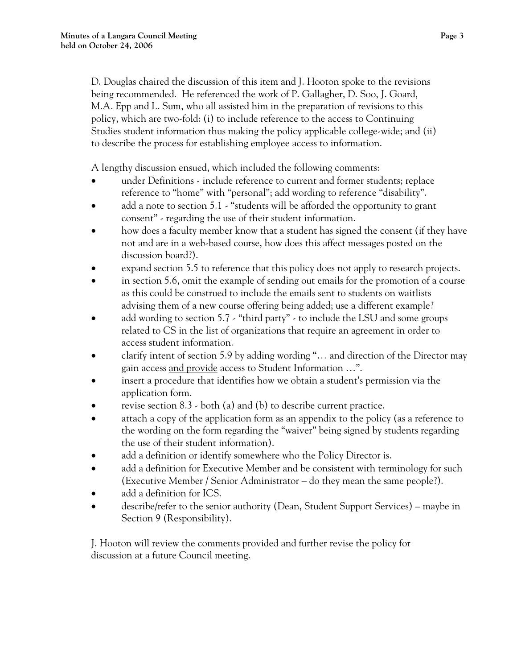D. Douglas chaired the discussion of this item and J. Hooton spoke to the revisions being recommended. He referenced the work of P. Gallagher, D. Soo, J. Goard, M.A. Epp and L. Sum, who all assisted him in the preparation of revisions to this policy, which are two-fold: (i) to include reference to the access to Continuing Studies student information thus making the policy applicable college-wide; and (ii) to describe the process for establishing employee access to information.

A lengthy discussion ensued, which included the following comments:

- under Definitions include reference to current and former students; replace reference to "home" with "personal"; add wording to reference "disability".
- add a note to section 5.1 "students will be afforded the opportunity to grant consent" - regarding the use of their student information.
- how does a faculty member know that a student has signed the consent (if they have not and are in a web-based course, how does this affect messages posted on the discussion board?).
- expand section 5.5 to reference that this policy does not apply to research projects.
- in section 5.6, omit the example of sending out emails for the promotion of a course as this could be construed to include the emails sent to students on waitlists advising them of a new course offering being added; use a different example?
- add wording to section 5.7 "third party" to include the LSU and some groups related to CS in the list of organizations that require an agreement in order to access student information.
- clarify intent of section 5.9 by adding wording "… and direction of the Director may gain access and provide access to Student Information …".
- insert a procedure that identifies how we obtain a student's permission via the application form.
- revise section  $8.3 \cdot$  both (a) and (b) to describe current practice.
- attach a copy of the application form as an appendix to the policy (as a reference to the wording on the form regarding the "waiver" being signed by students regarding the use of their student information).
- add a definition or identify somewhere who the Policy Director is.
- add a definition for Executive Member and be consistent with terminology for such (Executive Member / Senior Administrator – do they mean the same people?).
- add a definition for ICS.
- describe/refer to the senior authority (Dean, Student Support Services) maybe in Section 9 (Responsibility).

 J. Hooton will review the comments provided and further revise the policy for discussion at a future Council meeting.